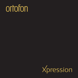# ortofon

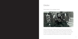# **Ortofon**

World leader in the cartridge industry



Ortofon has always been a leading company in the field of sound reproduction. Founded in Copenhagen in 1918, Ortofon started by creating technology which served as the basis for adding a soundtrack to the silent movies of the early 1920s. In 1948, the company developed the first moving coil cartridge, and since then Ortofon has developed and manufactured more than 300 different cartridges.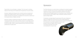Today Ortofon is the world leader in cartridges. This is the result of combining design with technology and the highest level of engineering in the audio industry.

Acoustics, materials technology and micro mechanics are key competences in Ortofon´s technological prowess. Ortofon has its research and manufacturing facilities in Denmark; the production of cartridges and components is carried out at the company's factory in Nakskov, Denmark.

Production is based on experienced workers with a high level of craftsmanship. This assures the high uniform quality of Ortofon products. The cartridges are sold worldwide through a network of more than 60 importers and sales subsidiaries in the USA and Japan. Ortofon is today recognized among consumers and industry professionals as a quality brand.

### Xpression

The Ortofon Xpression is a modern high-end cartridge with a standard headshell connector. This state of the art product combines Ortofon's cutting edge SLM materials technology, pioneered by the MC A90 and SPU 90<sup>th</sup> Anniversary products, along with applied research from the generator system introduced with the MC A90 and the MC Windfeld. Finally, the Xpression preserves Ortofon's signature design tradition.

The Xpression cartridge bridges the gap between SPU-type cartridges and High-End cartridges like the MC A90 and the MC Windfeld designed for headshell mounting. The result is a high-performance moving coil cartridge with the convenience of a standard headshell connector, which provides a simple and elegant method of directly connecting the generator and tonearm via the Xpression's one-piece body.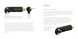

Since the cartridge length is identical to that of an SPU, the Xpression can easily be fitted onto these arms without additional concern for proper alignment. The cartridge height is also identical, making further VTA adjustments unnecessary. Additionally, the mass and compliance properties of the Xpression ensure that a proper match will be achieved with any SPU-compatible arm. Finally, the Xpression features a Boron Cantilever and Replicant 100 diamond, found also in the MC A90 and the MC Windfeld cartridges, providing more responsive and transparent sound reproduction.

# Magnet

#### Neodymium magnet with FSE

The magnet system is based on the designs used in such acclaimed cartridges as the MC Windfeld and the MC A90. It is based on an extremely strong, compact neodymium magnet, which makes the generator system both compact and lighter through its minimal dimensions.

Ortofon's Field Stabilizing Element, a small cylinder of conductive material strategically placed inside the magnet system, guarantees that the force field remains stable regardless of the movement of the armature. FSE improves the channel separation, while at the same time minimizing dynamic distortion and intermodulation. The result is the fantastic dynamics and even more elbow room between the musicians.

You simply experience more drama and greater breadth, height and depth in the sound scenario!

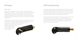# **Damping**

### WRD system

Adding to the list of important components is Ortofon's Wide Range Damping (WRD) system. In this system, a small, heavy platinum disc is sandwiched between two rubber absorbers, both with different properties. This ensures not only an exceptional tracking performance, but also creates a perfect damping through the entire frequency spectrum. Because of this, distortion and resonance are virtually eliminated entirely.

The WRD system, which was originally introduced in the MC 20 Mk II in 1979 and was also used in the MC A90, the MC Windfeld and many of Ortofon's other top tier cartridges, is one significant reason why the Xpression, while achieving the most linear frequency response and a high upper frequency limit, at the same time tracks a fantastic 90 μm at a vertical tracking **Xpression** force of 2.6 grams.



The final result provides absolute freedom from resonances existing in the cartridge body material and allows for the Xpression to be perfectly matched with an extremely wide array of different tonearms. Because of the nature of SLM-based construction, each cartridge body is cosmetically unique and will show small dimples or lines under close examination.

SLM manufacturing

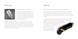### Diamond



#### The finest diamond in the world

Another precondition for linear reproduction with a wide frequency range and optimal tracking performance is a diamond - the shape of which is as close as possible to the original cutting needle. To achieve this, the Ortofon Xpression uses an ultra-fine and extra polished version of the unique Ortofon Replicant Stylus 100.

This diamond, which is already known from products such as the famous MC Windfeld and the MC A90 cartridges, is incredibly small and light, but has an extraordinarily large vertical contact surface despite its minimal radius of rounding. Correctly fitted at a vertical angle of 23 degrees, an Ortofon Replicant Stylus 100 will read the musical information in the grooves of a record with a greater degree of accuracy than any other kind of needle.

### **Material**

#### Extremely high end materials benefit new coil technology

Using expensive Aucurum coils of gold-plated, 6NX oxygen free copper allows for zero-loss transmission of the diamonds movements via its boron cantilever. This combination, which has also been employed for use in the MC A90 and the legendary MC Windfeld, combines low moving mass with an extremely high degree of rigidity.

The specially designed armature, created for the MC Windfeld and the MC A90, achieves an extreme precision in each coil turn in all layers. This enables the Xpression to obtain a higher degree of channel separation, while simultaneously offering lower distortion and better channel balance. A low output impedance of 4 ohm and a medium output voltage of 0.3 mV make the Ortofon Xpression a perfect partner for most step-up transformers as well as active MC pre-amps.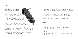# Design

The presentation of the Ortofon Xpression is a continuation of the new paradigm in engineering and manufacturing introduced by the MC A90. Because total freedom from resonance in the audible frequency range is a precondition for optimal sound quality, the design of the Xpression has been dictated by the complete elimination of unwanted resonance. Arguably the most exciting development in the Xpression is the introduction of our custom SLM manufacturing process.

By combining the utilization of this SLM process and our WRD system, we are confident that the perfect mechanical integration of this cartridge with your tonearm will result in a significant and breathtaking increase in dynamics, staging, resolution and richness. Also helping to achieve the Xpression's accuracy and sonic purity the ultrahigh purity silver is used for the internal wiring between generator and standard headshell connector. The Xpression, although derived from the materials and techniques employed with the A90 cartridge, finds a superb sonic balance between the literal precision of the A90 and the powerful dynamics and fluid body of its SPU predecessors.



Finally, the bottom cover has been constructed from a special proprietary TPE (Thermo-Plastic Elastomer) material, which provides extremely high damping. Also included is an easy-to-grab finger lift as well as a simple to use stylus guard.

When combined with Ortofon's world-class knowledge in analogue sound reproduction, the Xpression will undoubtedly provide sound which is literally unsurpassed and simply has to be experienced. Of course, aesthetically, the Xpression has a distinctive, elegant design which makes no compromises.

# Setup

### Antiskating

For the Xpression stylus type, just set normal antiskating, according to recommended tracking force.

### **Warning**

This phono cartridge is only for mounting on tonearms and must not be used for other purposes.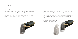### **Protection**

### Stylus Guard

The Xpression ships with a newly engineered stylus guard which is designed to be easily replaced and removed without risking contact to the fragile stylus assembly. The new stylus guard design offers a safe and effective functionality. To avoid accidental damage to the stylus or cantilever please mount the enclosed stylus guard onto the cartridge whenever the cartridge is not in use.



This also includes whenever the cartridge is being mounted or removed from the headshell. As illustrated by the drawing, the stylus guard is simple removed by taking hold of the sides using the thumb and forefinger, and pulling straight along the orientation of the cartridge. Affixing the stylus guard is of course accomplished by the reverse movement, but still using a straight movement as indicated by the guidelines.

A new stylus protection guard can be purchased on the Ortofon webshop www.ortofon-shop.com.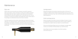### **Maintenance**

#### Stylus care

Ortofon does not recommend the use of solvents of any kind for cleaning of either record surface or stylus. If necessary, records may be washed in lukewarm demineralized water with a dash of sulphonic soap. Remove dust carefully from record surfaces by using a fine antistatic brush or cloth before every use. The use of solvents on the stylus and cantilever may damage stylus cement; interior parts of the cartridge can be affected seriously by the intrusion of solvents.

The Ortofon warranty will not be valid in cases where such treatment has caused malfunction. For cleaning the stylus, use the enclosed fiber brush a few times along the cantilever in the direction of the stylus, whenever you play a new record or change sides. This will take all normal dust and most of the slick release agent from new records.



### Cartridge break-in

Although the Xpression will provide top reproduction right out of the box, the cartridge may slightly change character during the first tens of hours of use. This is completely normal and you may, in fact, find that this adds further refinement to your listening experience.

#### Ortofon exchange service

Owing to the design of the Ortofon moving coil cartridge, the stylus is not part of a replaceable assembly and therefore Ortofon offers, through its dealers, an Exchange service, please contact your dealer if you need this service.

Ortofon also offers Special Repair service for the Xpression cartridge, please contact your local Ortofon Authorised dealer if you need this service.

Special Repair service is also available on the Ortofon webshop: www.ortofon-shop.com.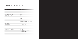# Xpression Technical Data

| <b>Technical Data</b>                                       | Xpression                                                          |
|-------------------------------------------------------------|--------------------------------------------------------------------|
| Output voltage at 1 kHz, 5 cm/sec.                          | $0.3$ mV                                                           |
| Channel balance at 1 kHz                                    | $< 0.2$ dB                                                         |
| Channel separation at 1 kHz                                 | $> 28$ dB                                                          |
| Channel separation at 15 kHz                                | $> 22$ dB                                                          |
| Frequency range at - 3 dB                                   | $10 - 60$ kHz                                                      |
| Frequency response                                          | 20 Hz - 20 kHz + 0.5 - 1.5 dB                                      |
| Tracking ability at 315 Hz<br>at recommended tracking force | 90 um                                                              |
| Compliance, dynamic, lateral                                | 11 µm/mN                                                           |
| Stylus type                                                 | Special polished Nude Ortofon Replicant 100<br>on Boron Cantilever |
| Stylus tip radius                                           | r/R 5/100 µm                                                       |
| Tracking force range                                        | $2.3 - 2.8$ g (23-28 mN)                                           |
| Tracking force, recommended                                 | 2.6 g (26 mN)                                                      |
| Tracking angle                                              | 23°                                                                |
| Internal impedance, DC resistance                           | 4 Ohm                                                              |
| Recommended load impedance                                  | $>10$ Ohm                                                          |
| Cartridge body material                                     | SLM Stainless Steel and Special<br>proprietary TPE-compound        |
| Cartridge colour                                            | Black                                                              |
| Cartridge weight                                            | 28 <sub>q</sub>                                                    |